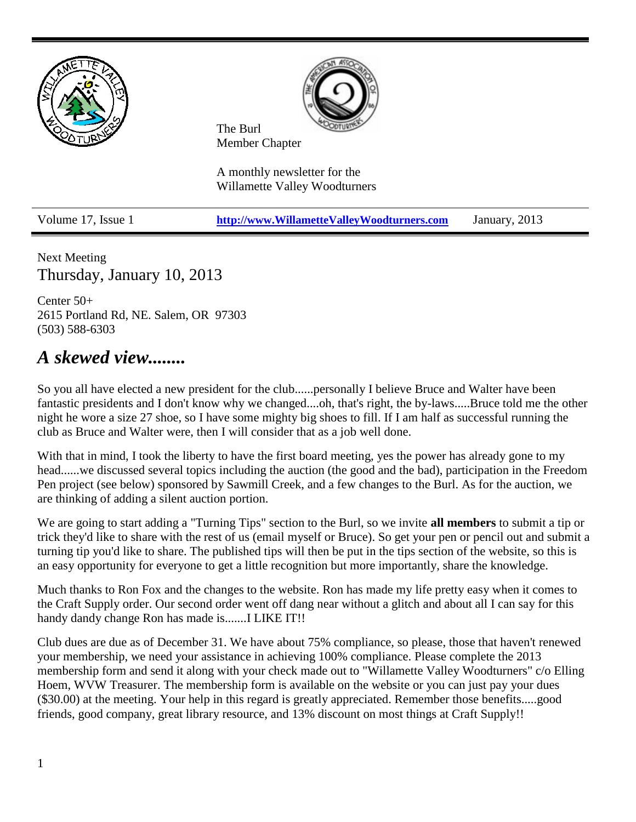

Next Meeting Thursday, January 10, 2013

Center 50+ 2615 Portland Rd, NE. Salem, OR 97303 (503) 588-6303

# *A skewed view........*

So you all have elected a new president for the club......personally I believe Bruce and Walter have been fantastic presidents and I don't know why we changed....oh, that's right, the by-laws.....Bruce told me the other night he wore a size 27 shoe, so I have some mighty big shoes to fill. If I am half as successful running the club as Bruce and Walter were, then I will consider that as a job well done.

With that in mind, I took the liberty to have the first board meeting, yes the power has already gone to my head......we discussed several topics including the auction (the good and the bad), participation in the Freedom Pen project (see below) sponsored by Sawmill Creek, and a few changes to the Burl. As for the auction, we are thinking of adding a silent auction portion.

We are going to start adding a "Turning Tips" section to the Burl, so we invite **all members** to submit a tip or trick they'd like to share with the rest of us (email myself or Bruce). So get your pen or pencil out and submit a turning tip you'd like to share. The published tips will then be put in the tips section of the website, so this is an easy opportunity for everyone to get a little recognition but more importantly, share the knowledge.

Much thanks to Ron Fox and the changes to the website. Ron has made my life pretty easy when it comes to the Craft Supply order. Our second order went off dang near without a glitch and about all I can say for this handy dandy change Ron has made is.......I LIKE IT!!

Club dues are due as of December 31. We have about 75% compliance, so please, those that haven't renewed your membership, we need your assistance in achieving 100% compliance. Please complete the 2013 membership form and send it along with your check made out to "Willamette Valley Woodturners" c/o Elling Hoem, WVW Treasurer. The membership form is available on the website or you can just pay your dues (\$30.00) at the meeting. Your help in this regard is greatly appreciated. Remember those benefits.....good friends, good company, great library resource, and 13% discount on most things at Craft Supply!!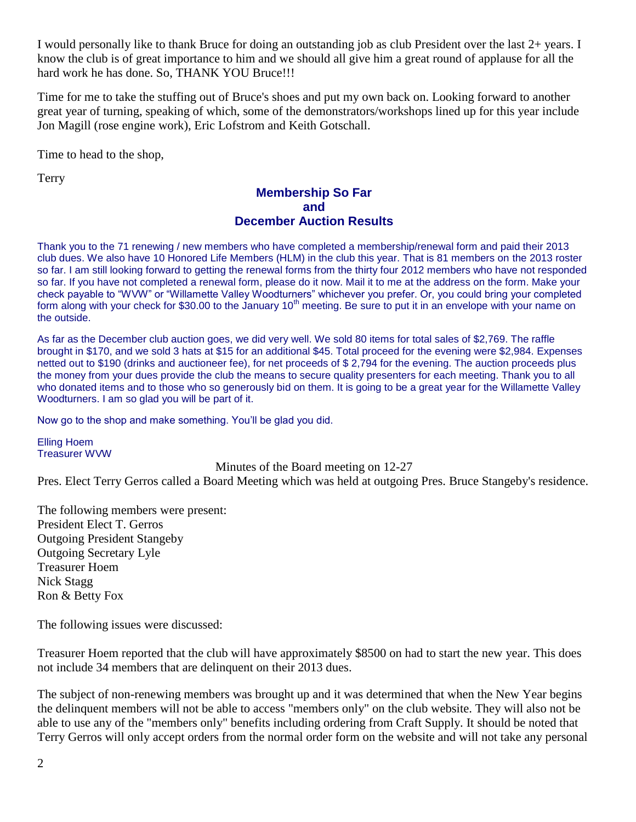I would personally like to thank Bruce for doing an outstanding job as club President over the last 2+ years. I know the club is of great importance to him and we should all give him a great round of applause for all the hard work he has done. So, THANK YOU Bruce!!!

Time for me to take the stuffing out of Bruce's shoes and put my own back on. Looking forward to another great year of turning, speaking of which, some of the demonstrators/workshops lined up for this year include Jon Magill (rose engine work), Eric Lofstrom and Keith Gotschall.

Time to head to the shop,

Terry

#### **Membership So Far and December Auction Results**

Thank you to the 71 renewing / new members who have completed a membership/renewal form and paid their 2013 club dues. We also have 10 Honored Life Members (HLM) in the club this year. That is 81 members on the 2013 roster so far. I am still looking forward to getting the renewal forms from the thirty four 2012 members who have not responded so far. If you have not completed a renewal form, please do it now. Mail it to me at the address on the form. Make your check payable to "WVW" or "Willamette Valley Woodturners" whichever you prefer. Or, you could bring your completed form along with your check for \$30.00 to the January  $10<sup>th</sup>$  meeting. Be sure to put it in an envelope with your name on the outside.

As far as the December club auction goes, we did very well. We sold 80 items for total sales of \$2,769. The raffle brought in \$170, and we sold 3 hats at \$15 for an additional \$45. Total proceed for the evening were \$2,984. Expenses netted out to \$190 (drinks and auctioneer fee), for net proceeds of \$ 2,794 for the evening. The auction proceeds plus the money from your dues provide the club the means to secure quality presenters for each meeting. Thank you to all who donated items and to those who so generously bid on them. It is going to be a great year for the Willamette Valley Woodturners. I am so glad you will be part of it.

Now go to the shop and make something. You'll be glad you did.

Elling Hoem Treasurer WVW

Minutes of the Board meeting on 12-27

Pres. Elect Terry Gerros called a Board Meeting which was held at outgoing Pres. Bruce Stangeby's residence.

The following members were present: President Elect T. Gerros Outgoing President Stangeby Outgoing Secretary Lyle Treasurer Hoem Nick Stagg Ron & Betty Fox

The following issues were discussed:

Treasurer Hoem reported that the club will have approximately \$8500 on had to start the new year. This does not include 34 members that are delinquent on their 2013 dues.

The subject of non-renewing members was brought up and it was determined that when the New Year begins the delinquent members will not be able to access "members only" on the club website. They will also not be able to use any of the "members only" benefits including ordering from Craft Supply. It should be noted that Terry Gerros will only accept orders from the normal order form on the website and will not take any personal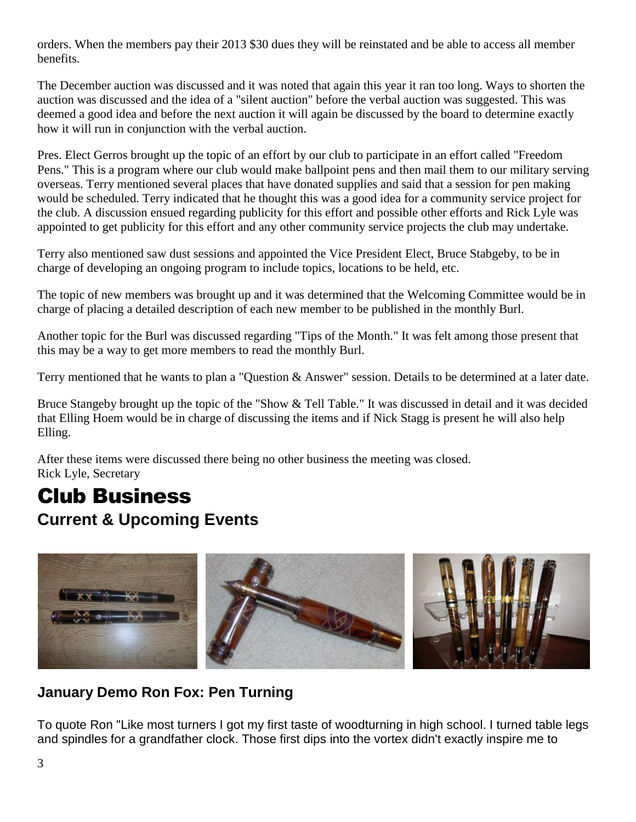orders. When the members pay their 2013 \$30 dues they will be reinstated and be able to access all member benefits.

The December auction was discussed and it was noted that again this year it ran too long. Ways to shorten the auction was discussed and the idea of a "silent auction" before the verbal auction was suggested. This was deemed a good idea and before the next auction it will again be discussed by the board to determine exactly how it will run in conjunction with the verbal auction.

Pres. Elect Gerros brought up the topic of an effort by our club to participate in an effort called "Freedom Pens." This is a program where our club would make ballpoint pens and then mail them to our military serving overseas. Terry mentioned several places that have donated supplies and said that a session for pen making would be scheduled. Terry indicated that he thought this was a good idea for a community service project for the club. A discussion ensued regarding publicity for this effort and possible other efforts and Rick Lyle was appointed to get publicity for this effort and any other community service projects the club may undertake.

Terry also mentioned saw dust sessions and appointed the Vice President Elect, Bruce Stabgeby, to be in charge of developing an ongoing program to include topics, locations to be held, etc.

The topic of new members was brought up and it was determined that the Welcoming Committee would be in charge of placing a detailed description of each new member to be published in the monthly Burl.

Another topic for the Burl was discussed regarding "Tips of the Month." It was felt among those present that this may be a way to get more members to read the monthly Burl.

Terry mentioned that he wants to plan a "Question & Answer" session. Details to be determined at a later date.

Bruce Stangeby brought up the topic of the "Show & Tell Table." It was discussed in detail and it was decided that Elling Hoem would be in charge of discussing the items and if Nick Stagg is present he will also help Elling.

After these items were discussed there being no other business the meeting was closed. Rick Lyle, Secretary

# Club Business **Current & Upcoming Events**



# **January Demo Ron Fox: Pen Turning**

To quote Ron "Like most turners I got my first taste of woodturning in high school. I turned table legs and spindles for a grandfather clock. Those first dips into the vortex didn't exactly inspire me to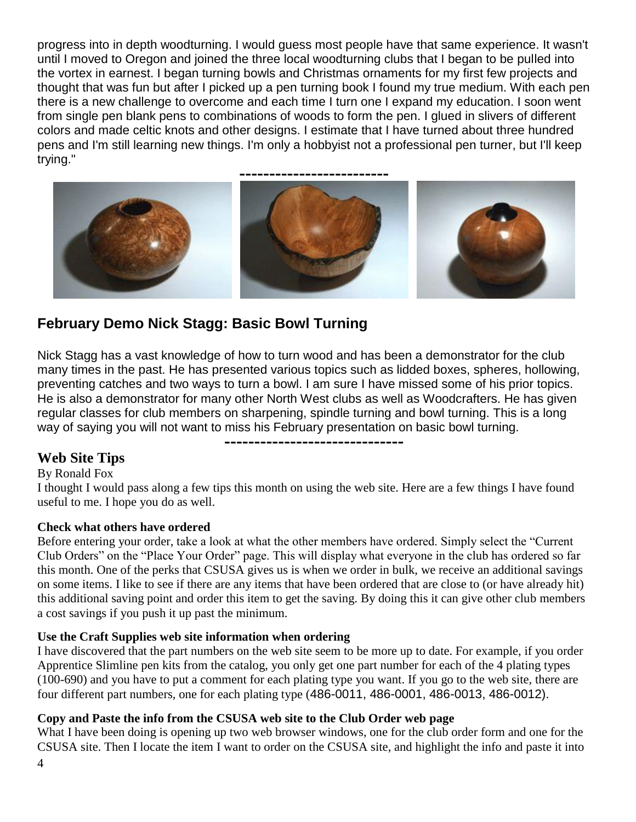progress into in depth woodturning. I would guess most people have that same experience. It wasn't until I moved to Oregon and joined the three local woodturning clubs that I began to be pulled into the vortex in earnest. I began turning bowls and Christmas ornaments for my first few projects and thought that was fun but after I picked up a pen turning book I found my true medium. With each pen there is a new challenge to overcome and each time I turn one I expand my education. I soon went from single pen blank pens to combinations of woods to form the pen. I glued in slivers of different colors and made celtic knots and other designs. I estimate that I have turned about three hundred pens and I'm still learning new things. I'm only a hobbyist not a professional pen turner, but I'll keep trying."



# **February Demo Nick Stagg: Basic Bowl Turning**

Nick Stagg has a vast knowledge of how to turn wood and has been a demonstrator for the club many times in the past. He has presented various topics such as lidded boxes, spheres, hollowing, preventing catches and two ways to turn a bowl. I am sure I have missed some of his prior topics. He is also a demonstrator for many other North West clubs as well as Woodcrafters. He has given regular classes for club members on sharpening, spindle turning and bowl turning. This is a long way of saying you will not want to miss his February presentation on basic bowl turning.

**------------------------------**

#### **Web Site Tips**

#### By Ronald Fox

I thought I would pass along a few tips this month on using the web site. Here are a few things I have found useful to me. I hope you do as well.

#### **Check what others have ordered**

Before entering your order, take a look at what the other members have ordered. Simply select the "Current Club Orders" on the "Place Your Order" page. This will display what everyone in the club has ordered so far this month. One of the perks that CSUSA gives us is when we order in bulk, we receive an additional savings on some items. I like to see if there are any items that have been ordered that are close to (or have already hit) this additional saving point and order this item to get the saving. By doing this it can give other club members a cost savings if you push it up past the minimum.

#### **Use the Craft Supplies web site information when ordering**

I have discovered that the part numbers on the web site seem to be more up to date. For example, if you order Apprentice Slimline pen kits from the catalog, you only get one part number for each of the 4 plating types (100-690) and you have to put a comment for each plating type you want. If you go to the web site, there are four different part numbers, one for each plating type (486-0011, 486-0001, 486-0013, 486-0012).

#### **Copy and Paste the info from the CSUSA web site to the Club Order web page**

What I have been doing is opening up two web browser windows, one for the club order form and one for the CSUSA site. Then I locate the item I want to order on the CSUSA site, and highlight the info and paste it into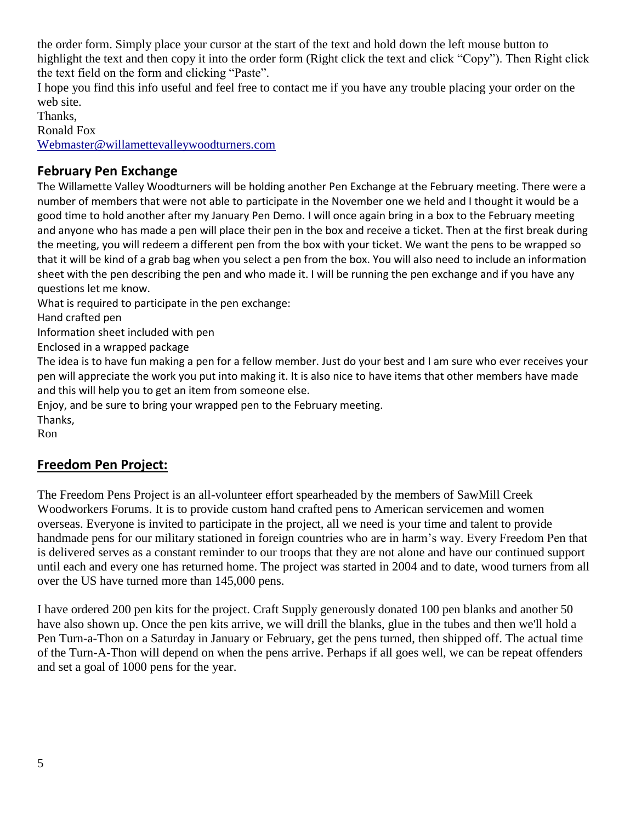the order form. Simply place your cursor at the start of the text and hold down the left mouse button to highlight the text and then copy it into the order form (Right click the text and click "Copy"). Then Right click the text field on the form and clicking "Paste".

I hope you find this info useful and feel free to contact me if you have any trouble placing your order on the web site.

Thanks,

Ronald Fox

[Webmaster@willamettevalleywoodturners.com](mailto:Webmaster@willamettevalleywoodturners.com)

### **February Pen Exchange**

The Willamette Valley Woodturners will be holding another Pen Exchange at the February meeting. There were a number of members that were not able to participate in the November one we held and I thought it would be a good time to hold another after my January Pen Demo. I will once again bring in a box to the February meeting and anyone who has made a pen will place their pen in the box and receive a ticket. Then at the first break during the meeting, you will redeem a different pen from the box with your ticket. We want the pens to be wrapped so that it will be kind of a grab bag when you select a pen from the box. You will also need to include an information sheet with the pen describing the pen and who made it. I will be running the pen exchange and if you have any questions let me know.

What is required to participate in the pen exchange:

Hand crafted pen

Information sheet included with pen

Enclosed in a wrapped package

The idea is to have fun making a pen for a fellow member. Just do your best and I am sure who ever receives your pen will appreciate the work you put into making it. It is also nice to have items that other members have made and this will help you to get an item from someone else.

Enjoy, and be sure to bring your wrapped pen to the February meeting.

Thanks, Ron

## **Freedom Pen Project:**

The Freedom Pens Project is an all-volunteer effort spearheaded by the members of SawMill Creek Woodworkers Forums. It is to provide custom hand crafted pens to American servicemen and women overseas. Everyone is invited to participate in the project, all we need is your time and talent to provide handmade pens for our military stationed in foreign countries who are in harm's way. Every Freedom Pen that is delivered serves as a constant reminder to our troops that they are not alone and have our continued support until each and every one has returned home. The project was started in 2004 and to date, wood turners from all over the US have turned more than 145,000 pens.

I have ordered 200 pen kits for the project. Craft Supply generously donated 100 pen blanks and another 50 have also shown up. Once the pen kits arrive, we will drill the blanks, glue in the tubes and then we'll hold a Pen Turn-a-Thon on a Saturday in January or February, get the pens turned, then shipped off. The actual time of the Turn-A-Thon will depend on when the pens arrive. Perhaps if all goes well, we can be repeat offenders and set a goal of 1000 pens for the year.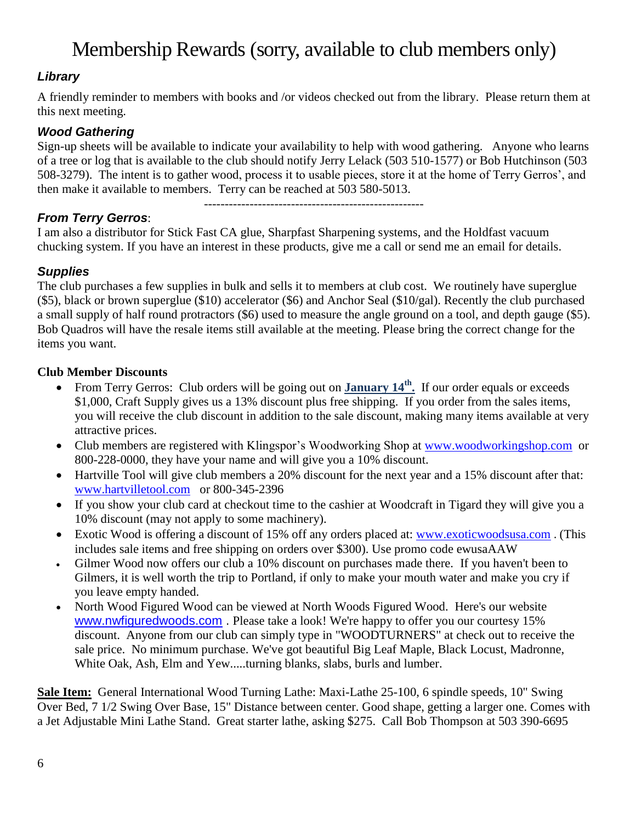# Membership Rewards (sorry, available to club members only)

## *Library*

A friendly reminder to members with books and /or videos checked out from the library. Please return them at this next meeting.

### *Wood Gathering*

Sign-up sheets will be available to indicate your availability to help with wood gathering. Anyone who learns of a tree or log that is available to the club should notify Jerry Lelack (503 510-1577) or Bob Hutchinson (503 508-3279). The intent is to gather wood, process it to usable pieces, store it at the home of Terry Gerros', and then make it available to members. Terry can be reached at 503 580-5013.

-----------------------------------------------------

## *From Terry Gerros*:

I am also a distributor for Stick Fast CA glue, Sharpfast Sharpening systems, and the Holdfast vacuum chucking system. If you have an interest in these products, give me a call or send me an email for details.

### *Supplies*

The club purchases a few supplies in bulk and sells it to members at club cost. We routinely have superglue (\$5), black or brown superglue (\$10) accelerator (\$6) and Anchor Seal (\$10/gal). Recently the club purchased a small supply of half round protractors (\$6) used to measure the angle ground on a tool, and depth gauge (\$5). Bob Quadros will have the resale items still available at the meeting. Please bring the correct change for the items you want.

#### **Club Member Discounts**

- From Terry Gerros: Club orders will be going out on **January 14th .** If our order equals or exceeds \$1,000, Craft Supply gives us a 13% discount plus free shipping. If you order from the sales items, you will receive the club discount in addition to the sale discount, making many items available at very attractive prices.
- Club members are registered with Klingspor's Woodworking Shop at [www.woodworkingshop.com](http://www.woodworkingshop.com/) or 800-228-0000, they have your name and will give you a 10% discount.
- Hartville Tool will give club members a 20% discount for the next year and a 15% discount after that: [www.hartvilletool.com](http://www.hartvilletool.com/) or 800-345-2396
- If you show your club card at checkout time to the cashier at Woodcraft in Tigard they will give you a 10% discount (may not apply to some machinery).
- Exotic Wood is offering a discount of 15% off any orders placed at: [www.exoticwoodsusa.com](http://www.exoticwoodsusa.com/). (This includes sale items and free shipping on orders over \$300). Use promo code ewusaAAW
- Gilmer Wood now offers our club a 10% discount on purchases made there. If you haven't been to Gilmers, it is well worth the trip to Portland, if only to make your mouth water and make you cry if you leave empty handed.
- North Wood Figured Wood can be viewed at North Woods Figured Wood. Here's our website [www.nwfiguredwoods.com](http://www.nwfiguredwoods.com/) . Please take a look! We're happy to offer you our courtesy 15% discount. Anyone from our club can simply type in "WOODTURNERS" at check out to receive the sale price. No minimum purchase. We've got beautiful Big Leaf Maple, Black Locust, Madronne, White Oak, Ash, Elm and Yew.....turning blanks, slabs, burls and lumber.

**Sale Item:** General International Wood Turning Lathe: Maxi-Lathe 25-100, 6 spindle speeds, 10" Swing Over Bed, 7 1/2 Swing Over Base, 15" Distance between center. Good shape, getting a larger one. Comes with a Jet Adjustable Mini Lathe Stand. Great starter lathe, asking \$275. Call Bob Thompson at 503 390-6695